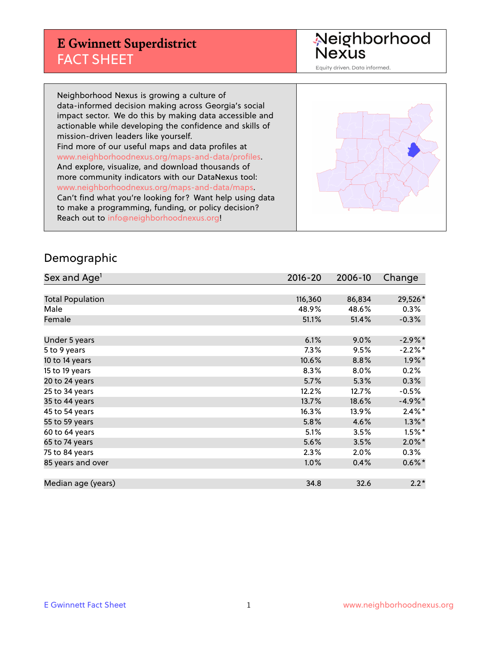## **E Gwinnett Superdistrict** FACT SHEET

Neighborhood<br>Nexus

Equity driven. Data informed.

Neighborhood Nexus is growing a culture of data-informed decision making across Georgia's social impact sector. We do this by making data accessible and actionable while developing the confidence and skills of mission-driven leaders like yourself. Find more of our useful maps and data profiles at www.neighborhoodnexus.org/maps-and-data/profiles. And explore, visualize, and download thousands of more community indicators with our DataNexus tool: www.neighborhoodnexus.org/maps-and-data/maps. Can't find what you're looking for? Want help using data to make a programming, funding, or policy decision? Reach out to [info@neighborhoodnexus.org!](mailto:info@neighborhoodnexus.org)



#### Demographic

| Sex and Age <sup>1</sup> | $2016 - 20$ | 2006-10 | Change     |
|--------------------------|-------------|---------|------------|
|                          |             |         |            |
| <b>Total Population</b>  | 116,360     | 86,834  | 29,526*    |
| Male                     | 48.9%       | 48.6%   | $0.3\%$    |
| Female                   | 51.1%       | 51.4%   | $-0.3%$    |
|                          |             |         |            |
| Under 5 years            | 6.1%        | 9.0%    | $-2.9\%$ * |
| 5 to 9 years             | 7.3%        | 9.5%    | $-2.2\%$ * |
| 10 to 14 years           | 10.6%       | 8.8%    | $1.9\%$ *  |
| 15 to 19 years           | 8.3%        | 8.0%    | 0.2%       |
| 20 to 24 years           | 5.7%        | 5.3%    | 0.3%       |
| 25 to 34 years           | 12.2%       | 12.7%   | $-0.5%$    |
| 35 to 44 years           | 13.7%       | 18.6%   | $-4.9%$ *  |
| 45 to 54 years           | 16.3%       | 13.9%   | $2.4\%$ *  |
| 55 to 59 years           | 5.8%        | 4.6%    | $1.3\%$ *  |
| 60 to 64 years           | 5.1%        | 3.5%    | $1.5\%$ *  |
| 65 to 74 years           | 5.6%        | 3.5%    | $2.0\%$ *  |
| 75 to 84 years           | 2.3%        | 2.0%    | $0.3\%$    |
| 85 years and over        | 1.0%        | 0.4%    | $0.6\%$ *  |
|                          |             |         |            |
| Median age (years)       | 34.8        | 32.6    | $2.2*$     |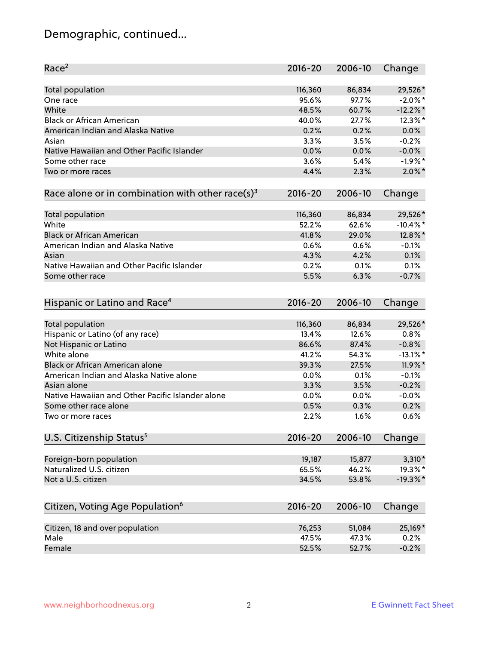# Demographic, continued...

| Race <sup>2</sup>                                            | $2016 - 20$ | 2006-10 | Change      |
|--------------------------------------------------------------|-------------|---------|-------------|
| Total population                                             | 116,360     | 86,834  | 29,526*     |
| One race                                                     | 95.6%       | 97.7%   | $-2.0\%$ *  |
| White                                                        | 48.5%       | 60.7%   | $-12.2%$    |
| <b>Black or African American</b>                             | 40.0%       | 27.7%   | $12.3\%$ *  |
| American Indian and Alaska Native                            | 0.2%        | 0.2%    | 0.0%        |
| Asian                                                        | 3.3%        | 3.5%    | $-0.2%$     |
| Native Hawaiian and Other Pacific Islander                   | 0.0%        | 0.0%    | $-0.0%$     |
| Some other race                                              | 3.6%        | 5.4%    | $-1.9%$ *   |
| Two or more races                                            | 4.4%        | 2.3%    | $2.0\%$ *   |
| Race alone or in combination with other race(s) <sup>3</sup> | $2016 - 20$ | 2006-10 | Change      |
|                                                              |             |         |             |
| Total population                                             | 116,360     | 86,834  | 29,526*     |
| White                                                        | 52.2%       | 62.6%   | $-10.4\%$ * |
| <b>Black or African American</b>                             | 41.8%       | 29.0%   | 12.8%*      |
| American Indian and Alaska Native                            | 0.6%        | 0.6%    | $-0.1%$     |
| Asian                                                        | 4.3%        | 4.2%    | 0.1%        |
| Native Hawaiian and Other Pacific Islander                   | 0.2%        | 0.1%    | 0.1%        |
| Some other race                                              | 5.5%        | 6.3%    | $-0.7%$     |
|                                                              |             |         |             |
| Hispanic or Latino and Race <sup>4</sup>                     | $2016 - 20$ | 2006-10 | Change      |
| Total population                                             | 116,360     | 86,834  | 29,526*     |
| Hispanic or Latino (of any race)                             | 13.4%       | 12.6%   | 0.8%        |
| Not Hispanic or Latino                                       | 86.6%       | 87.4%   | $-0.8%$     |
| White alone                                                  | 41.2%       | 54.3%   | $-13.1\%$ * |
| Black or African American alone                              | 39.3%       | 27.5%   | $11.9\%$ *  |
| American Indian and Alaska Native alone                      | 0.0%        | 0.1%    | $-0.1%$     |
| Asian alone                                                  | 3.3%        | 3.5%    | $-0.2%$     |
| Native Hawaiian and Other Pacific Islander alone             | 0.0%        | 0.0%    | $-0.0%$     |
| Some other race alone                                        | 0.5%        | 0.3%    | 0.2%        |
| Two or more races                                            | 2.2%        | 1.6%    | 0.6%        |
|                                                              |             |         |             |
| U.S. Citizenship Status <sup>5</sup>                         | $2016 - 20$ | 2006-10 | Change      |
| Foreign-born population                                      | 19,187      | 15,877  | $3,310*$    |
| Naturalized U.S. citizen                                     | 65.5%       | 46.2%   | 19.3%*      |
| Not a U.S. citizen                                           | 34.5%       | 53.8%   | $-19.3\%$ * |
|                                                              |             |         |             |
| Citizen, Voting Age Population <sup>6</sup>                  | $2016 - 20$ | 2006-10 | Change      |
| Citizen, 18 and over population                              | 76,253      | 51,084  | 25,169*     |
| Male                                                         | 47.5%       | 47.3%   | 0.2%        |
| Female                                                       | 52.5%       | 52.7%   | $-0.2%$     |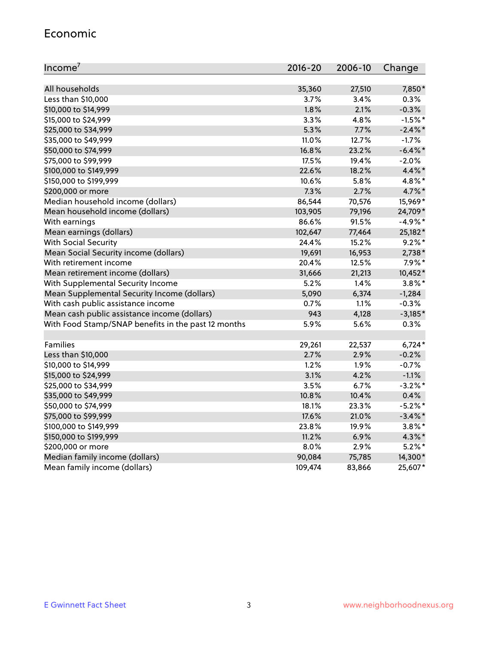#### Economic

| Income <sup>7</sup>                                 | $2016 - 20$ | 2006-10 | Change     |
|-----------------------------------------------------|-------------|---------|------------|
|                                                     |             |         |            |
| All households                                      | 35,360      | 27,510  | 7,850*     |
| Less than \$10,000                                  | $3.7\%$     | 3.4%    | 0.3%       |
| \$10,000 to \$14,999                                | 1.8%        | 2.1%    | $-0.3%$    |
| \$15,000 to \$24,999                                | 3.3%        | 4.8%    | $-1.5%$ *  |
| \$25,000 to \$34,999                                | 5.3%        | 7.7%    | $-2.4\%$ * |
| \$35,000 to \$49,999                                | 11.0%       | 12.7%   | $-1.7%$    |
| \$50,000 to \$74,999                                | 16.8%       | 23.2%   | $-6.4\%$ * |
| \$75,000 to \$99,999                                | 17.5%       | 19.4%   | $-2.0%$    |
| \$100,000 to \$149,999                              | 22.6%       | 18.2%   | 4.4%*      |
| \$150,000 to \$199,999                              | 10.6%       | 5.8%    | 4.8%*      |
| \$200,000 or more                                   | 7.3%        | 2.7%    | 4.7%*      |
| Median household income (dollars)                   | 86,544      | 70,576  | 15,969*    |
| Mean household income (dollars)                     | 103,905     | 79,196  | 24,709*    |
| With earnings                                       | 86.6%       | 91.5%   | $-4.9%$ *  |
| Mean earnings (dollars)                             | 102,647     | 77,464  | 25,182*    |
| <b>With Social Security</b>                         | 24.4%       | 15.2%   | $9.2\%$ *  |
| Mean Social Security income (dollars)               | 19,691      | 16,953  | 2,738*     |
| With retirement income                              | 20.4%       | 12.5%   | 7.9%*      |
| Mean retirement income (dollars)                    | 31,666      | 21,213  | 10,452*    |
| With Supplemental Security Income                   | 5.2%        | 1.4%    | $3.8\%$ *  |
| Mean Supplemental Security Income (dollars)         | 5,090       | 6,374   | $-1,284$   |
| With cash public assistance income                  | 0.7%        | 1.1%    | $-0.3%$    |
| Mean cash public assistance income (dollars)        | 943         | 4,128   | $-3,185*$  |
| With Food Stamp/SNAP benefits in the past 12 months | 5.9%        | 5.6%    | 0.3%       |
|                                                     |             |         |            |
| Families                                            | 29,261      | 22,537  | $6,724*$   |
| Less than \$10,000                                  | 2.7%        | 2.9%    | $-0.2%$    |
| \$10,000 to \$14,999                                | 1.2%        | 1.9%    | $-0.7%$    |
| \$15,000 to \$24,999                                | 3.1%        | 4.2%    | $-1.1%$    |
| \$25,000 to \$34,999                                | 3.5%        | 6.7%    | $-3.2%$ *  |
| \$35,000 to \$49,999                                | 10.8%       | 10.4%   | 0.4%       |
| \$50,000 to \$74,999                                | 18.1%       | 23.3%   | $-5.2\%$ * |
| \$75,000 to \$99,999                                | 17.6%       | 21.0%   | $-3.4\%$ * |
| \$100,000 to \$149,999                              | 23.8%       | 19.9%   | $3.8\%$ *  |
| \$150,000 to \$199,999                              | 11.2%       | 6.9%    | 4.3%*      |
| \$200,000 or more                                   | 8.0%        | 2.9%    | $5.2\%$ *  |
| Median family income (dollars)                      | 90,084      | 75,785  | 14,300*    |
| Mean family income (dollars)                        | 109,474     | 83,866  | 25,607*    |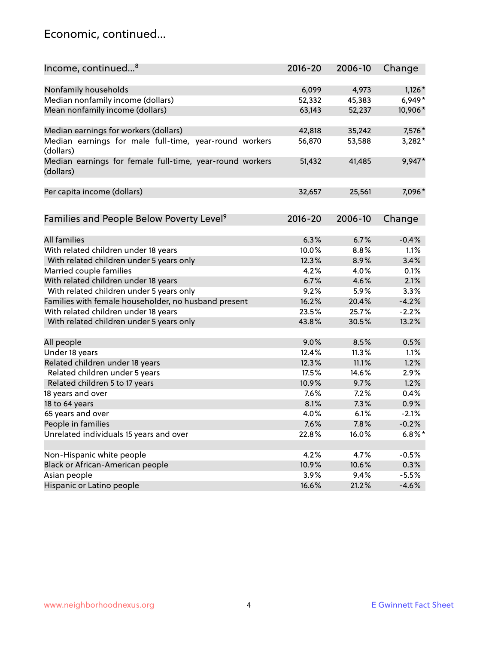#### Economic, continued...

| Income, continued <sup>8</sup>                           | $2016 - 20$ | 2006-10 | Change    |
|----------------------------------------------------------|-------------|---------|-----------|
|                                                          |             |         |           |
| Nonfamily households                                     | 6,099       | 4,973   | $1,126*$  |
| Median nonfamily income (dollars)                        | 52,332      | 45,383  | $6,949*$  |
| Mean nonfamily income (dollars)                          | 63,143      | 52,237  | 10,906*   |
|                                                          |             |         |           |
| Median earnings for workers (dollars)                    | 42,818      | 35,242  | 7,576*    |
| Median earnings for male full-time, year-round workers   | 56,870      | 53,588  | 3,282*    |
| (dollars)                                                |             |         |           |
| Median earnings for female full-time, year-round workers | 51,432      | 41,485  | 9,947*    |
| (dollars)                                                |             |         |           |
|                                                          |             |         |           |
| Per capita income (dollars)                              | 32,657      | 25,561  | 7,096*    |
|                                                          |             |         |           |
| Families and People Below Poverty Level <sup>9</sup>     | $2016 - 20$ | 2006-10 | Change    |
|                                                          |             |         |           |
| All families                                             | 6.3%        | 6.7%    | $-0.4%$   |
| With related children under 18 years                     | 10.0%       | 8.8%    | 1.1%      |
| With related children under 5 years only                 | 12.3%       | 8.9%    | 3.4%      |
| Married couple families                                  | 4.2%        | 4.0%    | 0.1%      |
| With related children under 18 years                     | 6.7%        | 4.6%    | 2.1%      |
| With related children under 5 years only                 | 9.2%        | 5.9%    | 3.3%      |
| Families with female householder, no husband present     | 16.2%       | 20.4%   | $-4.2%$   |
| With related children under 18 years                     | 23.5%       | 25.7%   | $-2.2%$   |
| With related children under 5 years only                 | 43.8%       | 30.5%   | 13.2%     |
|                                                          |             |         |           |
| All people                                               | 9.0%        | 8.5%    | 0.5%      |
| Under 18 years                                           | 12.4%       | 11.3%   | 1.1%      |
| Related children under 18 years                          | 12.3%       | 11.1%   | 1.2%      |
| Related children under 5 years                           | 17.5%       | 14.6%   | 2.9%      |
| Related children 5 to 17 years                           | 10.9%       | 9.7%    | 1.2%      |
| 18 years and over                                        | 7.6%        | 7.2%    | 0.4%      |
| 18 to 64 years                                           | 8.1%        | 7.3%    | 0.9%      |
| 65 years and over                                        | 4.0%        | 6.1%    | $-2.1%$   |
| People in families                                       | 7.6%        | 7.8%    | $-0.2%$   |
| Unrelated individuals 15 years and over                  | 22.8%       | 16.0%   | $6.8\%$ * |
|                                                          |             |         |           |
| Non-Hispanic white people                                | 4.2%        | 4.7%    | $-0.5%$   |
| Black or African-American people                         | 10.9%       | 10.6%   | 0.3%      |
| Asian people                                             | 3.9%        | 9.4%    | $-5.5%$   |
| Hispanic or Latino people                                | 16.6%       | 21.2%   | $-4.6%$   |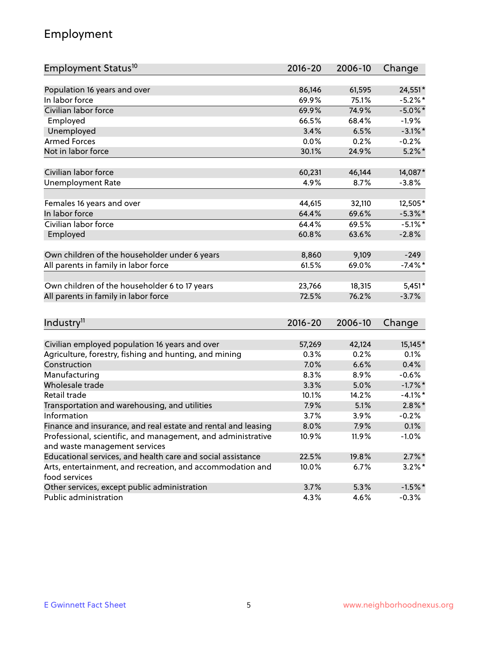## Employment

| Employment Status <sup>10</sup>                               | $2016 - 20$ | 2006-10 | Change     |
|---------------------------------------------------------------|-------------|---------|------------|
|                                                               |             |         |            |
| Population 16 years and over                                  | 86,146      | 61,595  | 24,551*    |
| In labor force                                                | 69.9%       | 75.1%   | $-5.2\%$ * |
| Civilian labor force                                          | 69.9%       | 74.9%   | $-5.0\%$ * |
| Employed                                                      | 66.5%       | 68.4%   | $-1.9%$    |
| Unemployed                                                    | 3.4%        | 6.5%    | $-3.1\%$ * |
| <b>Armed Forces</b>                                           | 0.0%        | 0.2%    | $-0.2%$    |
| Not in labor force                                            | 30.1%       | 24.9%   | $5.2\%$ *  |
| Civilian labor force                                          | 60,231      | 46,144  | 14,087*    |
| <b>Unemployment Rate</b>                                      | 4.9%        | 8.7%    | $-3.8%$    |
|                                                               |             |         |            |
| Females 16 years and over                                     | 44,615      | 32,110  | 12,505*    |
| In labor force                                                | 64.4%       | 69.6%   | $-5.3\%$ * |
| Civilian labor force                                          | 64.4%       | 69.5%   | $-5.1\%$ * |
| Employed                                                      | 60.8%       | 63.6%   | $-2.8%$    |
| Own children of the householder under 6 years                 | 8,860       | 9,109   | $-249$     |
| All parents in family in labor force                          | 61.5%       | 69.0%   | $-7.4\%$ * |
|                                                               |             |         |            |
| Own children of the householder 6 to 17 years                 | 23,766      | 18,315  | $5,451*$   |
| All parents in family in labor force                          | 72.5%       | 76.2%   | $-3.7%$    |
|                                                               |             |         |            |
| Industry <sup>11</sup>                                        | $2016 - 20$ | 2006-10 | Change     |
| Civilian employed population 16 years and over                | 57,269      | 42,124  | 15,145*    |
| Agriculture, forestry, fishing and hunting, and mining        | 0.3%        | 0.2%    | 0.1%       |
| Construction                                                  | 7.0%        | 6.6%    | 0.4%       |
| Manufacturing                                                 | 8.3%        | 8.9%    | $-0.6%$    |
| Wholesale trade                                               | 3.3%        | 5.0%    | $-1.7\%$ * |
| Retail trade                                                  | 10.1%       | 14.2%   | $-4.1\%$ * |
| Transportation and warehousing, and utilities                 | 7.9%        | 5.1%    | $2.8\%$ *  |
| Information                                                   | 3.7%        | 3.9%    | $-0.2%$    |
| Finance and insurance, and real estate and rental and leasing | 8.0%        | 7.9%    | 0.1%       |
| Professional, scientific, and management, and administrative  | 10.9%       | 11.9%   | $-1.0%$    |
| and waste management services                                 |             |         |            |
| Educational services, and health care and social assistance   | 22.5%       | 19.8%   | $2.7\%$ *  |
| Arts, entertainment, and recreation, and accommodation and    | 10.0%       | 6.7%    | $3.2\%$ *  |
| food services                                                 |             |         |            |
| Other services, except public administration                  | 3.7%        | 5.3%    | $-1.5%$ *  |
| Public administration                                         | 4.3%        | 4.6%    | $-0.3%$    |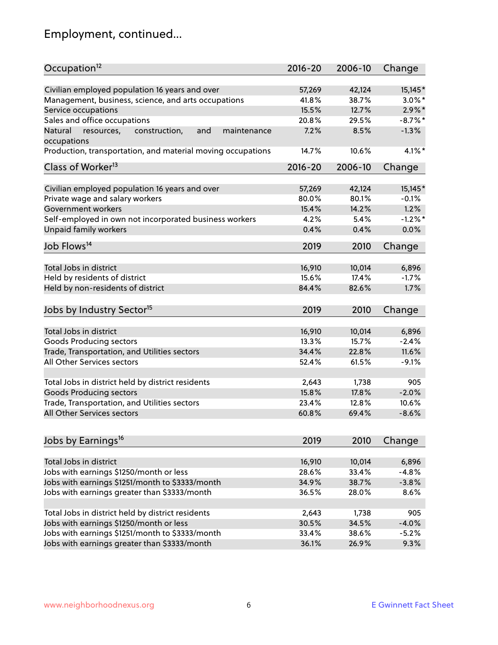# Employment, continued...

| Occupation <sup>12</sup>                                                    | $2016 - 20$ | 2006-10 | Change     |
|-----------------------------------------------------------------------------|-------------|---------|------------|
| Civilian employed population 16 years and over                              | 57,269      | 42,124  | $15,145*$  |
| Management, business, science, and arts occupations                         | 41.8%       | 38.7%   | $3.0\%$ *  |
| Service occupations                                                         | 15.5%       | 12.7%   | $2.9\%$ *  |
| Sales and office occupations                                                | 20.8%       | 29.5%   | $-8.7\%$ * |
|                                                                             | 7.2%        |         | $-1.3%$    |
| Natural<br>and<br>resources,<br>construction,<br>maintenance<br>occupations |             | 8.5%    |            |
| Production, transportation, and material moving occupations                 | 14.7%       | 10.6%   | $4.1\%$ *  |
| Class of Worker <sup>13</sup>                                               | $2016 - 20$ | 2006-10 | Change     |
| Civilian employed population 16 years and over                              | 57,269      | 42,124  | 15,145*    |
| Private wage and salary workers                                             | 80.0%       | 80.1%   | $-0.1%$    |
| Government workers                                                          | 15.4%       | 14.2%   | 1.2%       |
|                                                                             |             |         | $-1.2%$    |
| Self-employed in own not incorporated business workers                      | 4.2%        | 5.4%    |            |
| Unpaid family workers                                                       | 0.4%        | 0.4%    | 0.0%       |
| Job Flows <sup>14</sup>                                                     | 2019        | 2010    | Change     |
|                                                                             |             |         |            |
| Total Jobs in district                                                      | 16,910      | 10,014  | 6,896      |
| Held by residents of district                                               | 15.6%       | 17.4%   | $-1.7%$    |
| Held by non-residents of district                                           | 84.4%       | 82.6%   | 1.7%       |
| Jobs by Industry Sector <sup>15</sup>                                       | 2019        | 2010    | Change     |
|                                                                             |             |         |            |
| Total Jobs in district                                                      | 16,910      | 10,014  | 6,896      |
| Goods Producing sectors                                                     | 13.3%       | 15.7%   | $-2.4%$    |
| Trade, Transportation, and Utilities sectors                                | 34.4%       | 22.8%   | 11.6%      |
| All Other Services sectors                                                  | 52.4%       | 61.5%   | $-9.1%$    |
| Total Jobs in district held by district residents                           | 2,643       | 1,738   | 905        |
| <b>Goods Producing sectors</b>                                              | 15.8%       | 17.8%   | $-2.0%$    |
| Trade, Transportation, and Utilities sectors                                | 23.4%       | 12.8%   | 10.6%      |
| All Other Services sectors                                                  | 60.8%       | 69.4%   | $-8.6%$    |
|                                                                             |             |         |            |
| Jobs by Earnings <sup>16</sup>                                              | 2019        | 2010    | Change     |
| Total Jobs in district                                                      |             |         |            |
|                                                                             | 16,910      | 10,014  | 6,896      |
| Jobs with earnings \$1250/month or less                                     | 28.6%       | 33.4%   | $-4.8%$    |
| Jobs with earnings \$1251/month to \$3333/month                             | 34.9%       | 38.7%   | $-3.8%$    |
| Jobs with earnings greater than \$3333/month                                | 36.5%       | 28.0%   | 8.6%       |
| Total Jobs in district held by district residents                           | 2,643       | 1,738   | 905        |
| Jobs with earnings \$1250/month or less                                     | 30.5%       | 34.5%   | $-4.0%$    |
| Jobs with earnings \$1251/month to \$3333/month                             | 33.4%       | 38.6%   | $-5.2%$    |
| Jobs with earnings greater than \$3333/month                                | 36.1%       | 26.9%   | 9.3%       |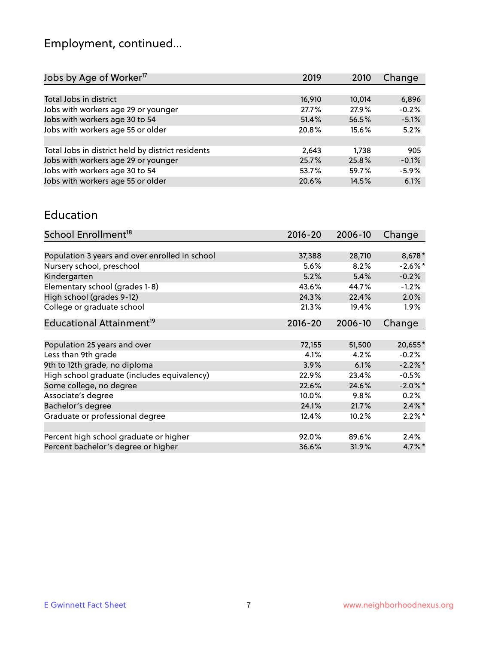# Employment, continued...

| Jobs by Age of Worker <sup>17</sup>               | 2019   | 2010   | Change  |
|---------------------------------------------------|--------|--------|---------|
|                                                   |        |        |         |
| Total Jobs in district                            | 16,910 | 10,014 | 6,896   |
| Jobs with workers age 29 or younger               | 27.7%  | 27.9%  | $-0.2%$ |
| Jobs with workers age 30 to 54                    | 51.4%  | 56.5%  | $-5.1%$ |
| Jobs with workers age 55 or older                 | 20.8%  | 15.6%  | 5.2%    |
|                                                   |        |        |         |
| Total Jobs in district held by district residents | 2,643  | 1.738  | 905     |
| Jobs with workers age 29 or younger               | 25.7%  | 25.8%  | $-0.1%$ |
| Jobs with workers age 30 to 54                    | 53.7%  | 59.7%  | $-5.9%$ |
| Jobs with workers age 55 or older                 | 20.6%  | 14.5%  | 6.1%    |
|                                                   |        |        |         |

#### Education

| School Enrollment <sup>18</sup>                | $2016 - 20$ | 2006-10 | Change     |
|------------------------------------------------|-------------|---------|------------|
|                                                |             |         |            |
| Population 3 years and over enrolled in school | 37,388      | 28,710  | 8,678*     |
| Nursery school, preschool                      | $5.6\%$     | 8.2%    | $-2.6\%$ * |
| Kindergarten                                   | 5.2%        | 5.4%    | $-0.2%$    |
| Elementary school (grades 1-8)                 | 43.6%       | 44.7%   | $-1.2%$    |
| High school (grades 9-12)                      | 24.3%       | 22.4%   | 2.0%       |
| College or graduate school                     | 21.3%       | 19.4%   | $1.9\%$    |
| Educational Attainment <sup>19</sup>           | $2016 - 20$ | 2006-10 | Change     |
|                                                |             |         |            |
| Population 25 years and over                   | 72,155      | 51,500  | 20,655*    |
| Less than 9th grade                            | 4.1%        | 4.2%    | $-0.2%$    |
| 9th to 12th grade, no diploma                  | 3.9%        | 6.1%    | $-2.2%$ *  |
| High school graduate (includes equivalency)    | 22.9%       | 23.4%   | $-0.5%$    |
| Some college, no degree                        | 22.6%       | 24.6%   | $-2.0\%$ * |
| Associate's degree                             | 10.0%       | 9.8%    | 0.2%       |
| Bachelor's degree                              | 24.1%       | 21.7%   | $2.4\%$ *  |
| Graduate or professional degree                | 12.4%       | 10.2%   | $2.2\%$ *  |
|                                                |             |         |            |
| Percent high school graduate or higher         | 92.0%       | 89.6%   | 2.4%       |
| Percent bachelor's degree or higher            | 36.6%       | 31.9%   | $4.7\%$ *  |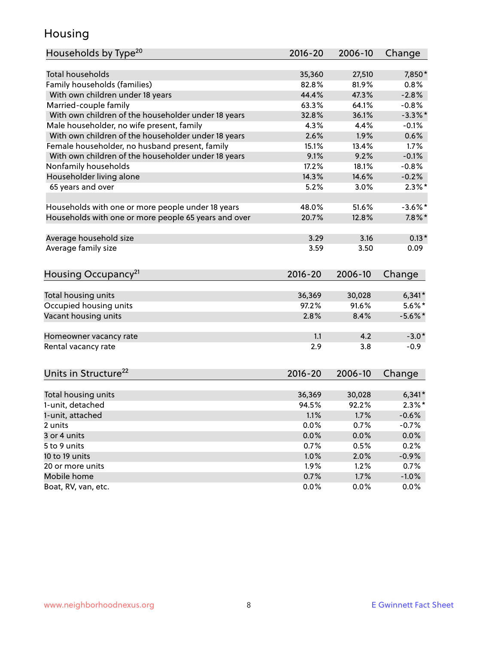## Housing

| Households by Type <sup>20</sup>                     | 2016-20     | 2006-10 | Change     |
|------------------------------------------------------|-------------|---------|------------|
|                                                      |             |         |            |
| <b>Total households</b>                              | 35,360      | 27,510  | 7,850*     |
| Family households (families)                         | 82.8%       | 81.9%   | 0.8%       |
| With own children under 18 years                     | 44.4%       | 47.3%   | $-2.8%$    |
| Married-couple family                                | 63.3%       | 64.1%   | $-0.8%$    |
| With own children of the householder under 18 years  | 32.8%       | 36.1%   | $-3.3\%$ * |
| Male householder, no wife present, family            | 4.3%        | 4.4%    | $-0.1%$    |
| With own children of the householder under 18 years  | 2.6%        | 1.9%    | 0.6%       |
| Female householder, no husband present, family       | 15.1%       | 13.4%   | 1.7%       |
| With own children of the householder under 18 years  | 9.1%        | 9.2%    | $-0.1%$    |
| Nonfamily households                                 | 17.2%       | 18.1%   | $-0.8%$    |
| Householder living alone                             | 14.3%       | 14.6%   | $-0.2%$    |
| 65 years and over                                    | 5.2%        | 3.0%    | $2.3\%$ *  |
|                                                      |             |         |            |
| Households with one or more people under 18 years    | 48.0%       | 51.6%   | $-3.6\%$ * |
| Households with one or more people 65 years and over | 20.7%       | 12.8%   | $7.8\%$ *  |
| Average household size                               | 3.29        | 3.16    | $0.13*$    |
| Average family size                                  | 3.59        | 3.50    | 0.09       |
|                                                      |             |         |            |
| Housing Occupancy <sup>21</sup>                      | $2016 - 20$ | 2006-10 | Change     |
| Total housing units                                  | 36,369      | 30,028  | $6,341*$   |
| Occupied housing units                               | 97.2%       | 91.6%   | $5.6\%$ *  |
| Vacant housing units                                 | 2.8%        | 8.4%    | $-5.6\%$ * |
|                                                      |             |         |            |
| Homeowner vacancy rate                               | 1.1         | 4.2     | $-3.0*$    |
| Rental vacancy rate                                  | 2.9         | 3.8     | $-0.9$     |
|                                                      |             |         |            |
| Units in Structure <sup>22</sup>                     | $2016 - 20$ | 2006-10 | Change     |
|                                                      |             |         |            |
| Total housing units                                  | 36,369      | 30,028  | $6,341*$   |
| 1-unit, detached                                     | 94.5%       | 92.2%   | $2.3\%*$   |
| 1-unit, attached                                     | 1.1%        | 1.7%    | $-0.6%$    |
| 2 units                                              | 0.0%        | 0.7%    | $-0.7%$    |
| 3 or 4 units                                         | 0.0%        | 0.0%    | 0.0%       |
| 5 to 9 units                                         | 0.7%        | 0.5%    | 0.2%       |
| 10 to 19 units                                       | 1.0%        | 2.0%    | $-0.9%$    |
| 20 or more units                                     | 1.9%        | 1.2%    | 0.7%       |
| Mobile home                                          | 0.7%        | 1.7%    | $-1.0\%$   |
| Boat, RV, van, etc.                                  | 0.0%        | 0.0%    | 0.0%       |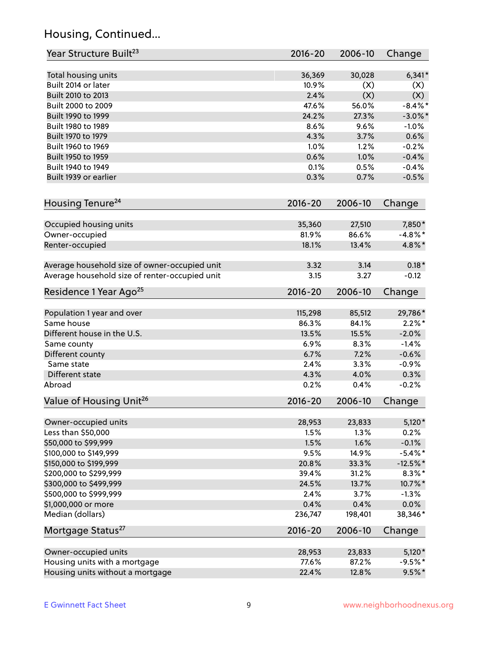## Housing, Continued...

| Year Structure Built <sup>23</sup>             | 2016-20     | 2006-10 | Change     |
|------------------------------------------------|-------------|---------|------------|
| Total housing units                            | 36,369      | 30,028  | $6,341*$   |
| Built 2014 or later                            | 10.9%       | (X)     | (X)        |
| Built 2010 to 2013                             | 2.4%        | (X)     | (X)        |
| Built 2000 to 2009                             | 47.6%       | 56.0%   | $-8.4\%$ * |
| Built 1990 to 1999                             | 24.2%       | 27.3%   | $-3.0\%$ * |
| Built 1980 to 1989                             | 8.6%        | 9.6%    | $-1.0%$    |
| Built 1970 to 1979                             | 4.3%        | 3.7%    | 0.6%       |
| Built 1960 to 1969                             | 1.0%        | 1.2%    | $-0.2%$    |
| Built 1950 to 1959                             | 0.6%        | 1.0%    | $-0.4%$    |
| Built 1940 to 1949                             | 0.1%        | 0.5%    | $-0.4%$    |
| Built 1939 or earlier                          | 0.3%        | 0.7%    | $-0.5%$    |
| Housing Tenure <sup>24</sup>                   | $2016 - 20$ | 2006-10 | Change     |
| Occupied housing units                         | 35,360      | 27,510  | 7,850*     |
| Owner-occupied                                 | 81.9%       | 86.6%   | $-4.8\%$ * |
| Renter-occupied                                | 18.1%       | 13.4%   | 4.8%*      |
| Average household size of owner-occupied unit  | 3.32        | 3.14    | $0.18*$    |
| Average household size of renter-occupied unit | 3.15        | 3.27    | $-0.12$    |
| Residence 1 Year Ago <sup>25</sup>             | $2016 - 20$ | 2006-10 | Change     |
| Population 1 year and over                     | 115,298     | 85,512  | 29,786*    |
| Same house                                     | 86.3%       | 84.1%   | $2.2\%$ *  |
| Different house in the U.S.                    | 13.5%       | 15.5%   | $-2.0%$    |
| Same county                                    | 6.9%        | 8.3%    | $-1.4%$    |
| Different county                               | 6.7%        | 7.2%    | $-0.6%$    |
| Same state                                     | 2.4%        | 3.3%    | $-0.9%$    |
| Different state                                | 4.3%        | 4.0%    | 0.3%       |
| Abroad                                         | 0.2%        | 0.4%    | $-0.2%$    |
| Value of Housing Unit <sup>26</sup>            | $2016 - 20$ | 2006-10 | Change     |
| Owner-occupied units                           | 28,953      | 23,833  | $5,120*$   |
| Less than \$50,000                             | 1.5%        | 1.3%    | 0.2%       |
| \$50,000 to \$99,999                           | 1.5%        | 1.6%    | $-0.1%$    |
| \$100,000 to \$149,999                         | 9.5%        | 14.9%   | $-5.4\%$ * |
| \$150,000 to \$199,999                         | 20.8%       | 33.3%   | $-12.5%$ * |
| \$200,000 to \$299,999                         | 39.4%       | 31.2%   | $8.3\%$ *  |
| \$300,000 to \$499,999                         | 24.5%       | 13.7%   | 10.7%*     |
| \$500,000 to \$999,999                         | 2.4%        | 3.7%    | $-1.3%$    |
| \$1,000,000 or more                            | 0.4%        | 0.4%    | 0.0%       |
| Median (dollars)                               | 236,747     | 198,401 | 38,346*    |
| Mortgage Status <sup>27</sup>                  | $2016 - 20$ | 2006-10 | Change     |
| Owner-occupied units                           | 28,953      | 23,833  | $5,120*$   |
| Housing units with a mortgage                  | 77.6%       | 87.2%   | $-9.5%$ *  |
| Housing units without a mortgage               | 22.4%       | 12.8%   | $9.5%$ *   |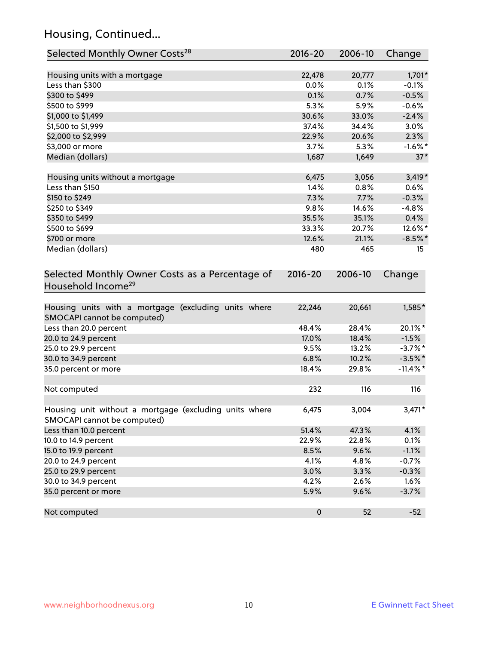## Housing, Continued...

| Selected Monthly Owner Costs <sup>28</sup>                                            | $2016 - 20$ | 2006-10 | Change      |
|---------------------------------------------------------------------------------------|-------------|---------|-------------|
| Housing units with a mortgage                                                         | 22,478      | 20,777  | $1,701*$    |
| Less than \$300                                                                       | 0.0%        | 0.1%    | $-0.1%$     |
| \$300 to \$499                                                                        | 0.1%        | 0.7%    | $-0.5%$     |
| \$500 to \$999                                                                        | 5.3%        | 5.9%    | $-0.6%$     |
| \$1,000 to \$1,499                                                                    | 30.6%       | 33.0%   | $-2.4%$     |
| \$1,500 to \$1,999                                                                    | 37.4%       | 34.4%   | 3.0%        |
| \$2,000 to \$2,999                                                                    | 22.9%       | 20.6%   | 2.3%        |
| \$3,000 or more                                                                       | 3.7%        | 5.3%    | $-1.6\%$ *  |
| Median (dollars)                                                                      | 1,687       | 1,649   | $37*$       |
| Housing units without a mortgage                                                      | 6,475       | 3,056   | $3,419*$    |
| Less than \$150                                                                       | 1.4%        | 0.8%    | 0.6%        |
| \$150 to \$249                                                                        | 7.3%        | 7.7%    | $-0.3%$     |
| \$250 to \$349                                                                        | 9.8%        | 14.6%   | $-4.8%$     |
| \$350 to \$499                                                                        | 35.5%       | 35.1%   | 0.4%        |
| \$500 to \$699                                                                        | 33.3%       | 20.7%   | 12.6%*      |
| \$700 or more                                                                         | 12.6%       | 21.1%   | $-8.5\%$ *  |
| Median (dollars)                                                                      | 480         | 465     | 15          |
| Selected Monthly Owner Costs as a Percentage of<br>Household Income <sup>29</sup>     | $2016 - 20$ | 2006-10 | Change      |
| Housing units with a mortgage (excluding units where<br>SMOCAPI cannot be computed)   | 22,246      | 20,661  | 1,585*      |
| Less than 20.0 percent                                                                | 48.4%       | 28.4%   | 20.1%*      |
| 20.0 to 24.9 percent                                                                  | 17.0%       | 18.4%   | $-1.5%$     |
| 25.0 to 29.9 percent                                                                  | 9.5%        | 13.2%   | $-3.7\%$ *  |
| 30.0 to 34.9 percent                                                                  | 6.8%        | 10.2%   | $-3.5%$ *   |
| 35.0 percent or more                                                                  | 18.4%       | 29.8%   | $-11.4\%$ * |
| Not computed                                                                          | 232         | 116     | 116         |
| Housing unit without a mortgage (excluding units where<br>SMOCAPI cannot be computed) | 6,475       | 3,004   | $3,471*$    |
| Less than 10.0 percent                                                                | 51.4%       | 47.3%   | 4.1%        |
| 10.0 to 14.9 percent                                                                  | 22.9%       | 22.8%   | 0.1%        |
| 15.0 to 19.9 percent                                                                  | 8.5%        | 9.6%    | $-1.1%$     |
| 20.0 to 24.9 percent                                                                  | 4.1%        | 4.8%    | $-0.7%$     |
| 25.0 to 29.9 percent                                                                  | 3.0%        | 3.3%    | $-0.3%$     |
| 30.0 to 34.9 percent                                                                  | 4.2%        | 2.6%    | 1.6%        |
| 35.0 percent or more                                                                  | 5.9%        | 9.6%    | $-3.7%$     |
| Not computed                                                                          | $\pmb{0}$   | 52      | $-52$       |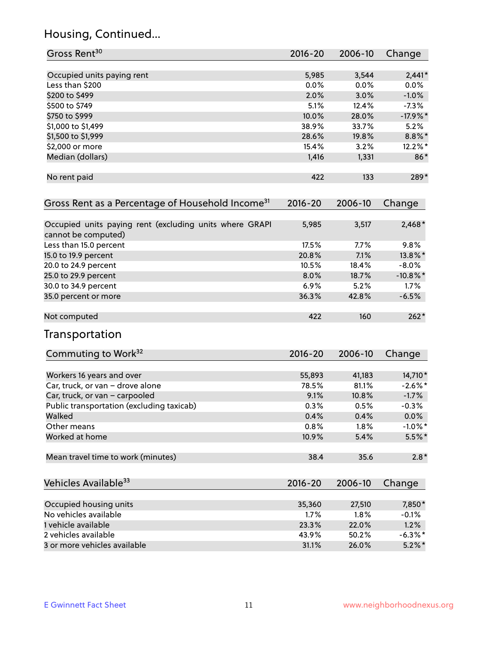## Housing, Continued...

| Gross Rent <sup>30</sup>                                                       | 2016-20     | 2006-10 | Change      |
|--------------------------------------------------------------------------------|-------------|---------|-------------|
| Occupied units paying rent                                                     | 5,985       | 3,544   | $2,441*$    |
| Less than \$200                                                                | 0.0%        | 0.0%    | $0.0\%$     |
| \$200 to \$499                                                                 | 2.0%        | 3.0%    | $-1.0%$     |
| \$500 to \$749                                                                 | 5.1%        | 12.4%   | $-7.3%$     |
| \$750 to \$999                                                                 | 10.0%       | 28.0%   | $-17.9%$    |
| \$1,000 to \$1,499                                                             | 38.9%       | 33.7%   | 5.2%        |
| \$1,500 to \$1,999                                                             | 28.6%       | 19.8%   | $8.8\%$ *   |
| \$2,000 or more                                                                | 15.4%       | 3.2%    | $12.2\%$ *  |
| Median (dollars)                                                               | 1,416       | 1,331   | 86*         |
| No rent paid                                                                   | 422         | 133     | 289*        |
| Gross Rent as a Percentage of Household Income <sup>31</sup>                   | $2016 - 20$ | 2006-10 | Change      |
| Occupied units paying rent (excluding units where GRAPI<br>cannot be computed) | 5,985       | 3,517   | $2,468*$    |
| Less than 15.0 percent                                                         | 17.5%       | 7.7%    | 9.8%        |
| 15.0 to 19.9 percent                                                           | 20.8%       | 7.1%    | 13.8%*      |
| 20.0 to 24.9 percent                                                           | 10.5%       | 18.4%   | $-8.0%$     |
| 25.0 to 29.9 percent                                                           | 8.0%        | 18.7%   | $-10.8\%$ * |
| 30.0 to 34.9 percent                                                           | 6.9%        | 5.2%    | 1.7%        |
| 35.0 percent or more                                                           | 36.3%       | 42.8%   | $-6.5%$     |
| Not computed                                                                   | 422         | 160     | $262*$      |
| Transportation                                                                 |             |         |             |
| Commuting to Work <sup>32</sup>                                                | 2016-20     | 2006-10 | Change      |
| Workers 16 years and over                                                      | 55,893      | 41,183  | 14,710*     |
| Car, truck, or van - drove alone                                               | 78.5%       | 81.1%   | $-2.6\%$ *  |
| Car, truck, or van - carpooled                                                 | 9.1%        | 10.8%   | $-1.7%$     |
| Public transportation (excluding taxicab)                                      | 0.3%        | 0.5%    | $-0.3%$     |
| Walked                                                                         | 0.4%        | 0.4%    | $0.0\%$     |
| Other means                                                                    | 0.8%        | 1.8%    | $-1.0\%$ *  |
| Worked at home                                                                 | 10.9%       | 5.4%    | 5.5%*       |
| Mean travel time to work (minutes)                                             | 38.4        | 35.6    | $2.8*$      |
| Vehicles Available <sup>33</sup>                                               | 2016-20     | 2006-10 | Change      |
| Occupied housing units                                                         | 35,360      | 27,510  | 7,850*      |
| No vehicles available                                                          | 1.7%        | 1.8%    | $-0.1%$     |
| 1 vehicle available                                                            | 23.3%       | 22.0%   | 1.2%        |
| 2 vehicles available                                                           | 43.9%       | 50.2%   | $-6.3\%$ *  |
| 3 or more vehicles available                                                   | 31.1%       | 26.0%   | $5.2\%$ *   |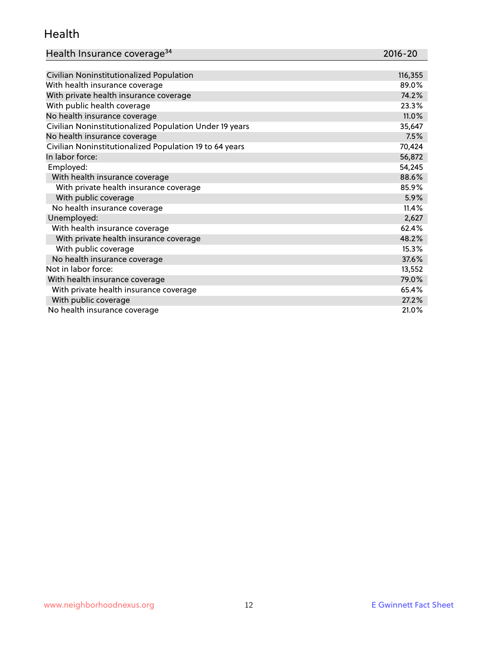#### Health

| Health Insurance coverage <sup>34</sup> | 2016-20 |
|-----------------------------------------|---------|
|-----------------------------------------|---------|

| Civilian Noninstitutionalized Population                | 116,355 |
|---------------------------------------------------------|---------|
| With health insurance coverage                          | 89.0%   |
| With private health insurance coverage                  | 74.2%   |
| With public health coverage                             | 23.3%   |
| No health insurance coverage                            | 11.0%   |
| Civilian Noninstitutionalized Population Under 19 years | 35,647  |
| No health insurance coverage                            | 7.5%    |
| Civilian Noninstitutionalized Population 19 to 64 years | 70,424  |
| In labor force:                                         | 56,872  |
| Employed:                                               | 54,245  |
| With health insurance coverage                          | 88.6%   |
| With private health insurance coverage                  | 85.9%   |
| With public coverage                                    | 5.9%    |
| No health insurance coverage                            | 11.4%   |
| Unemployed:                                             | 2,627   |
| With health insurance coverage                          | 62.4%   |
| With private health insurance coverage                  | 48.2%   |
| With public coverage                                    | 15.3%   |
| No health insurance coverage                            | 37.6%   |
| Not in labor force:                                     | 13,552  |
| With health insurance coverage                          | 79.0%   |
| With private health insurance coverage                  | 65.4%   |
| With public coverage                                    | 27.2%   |
| No health insurance coverage                            | 21.0%   |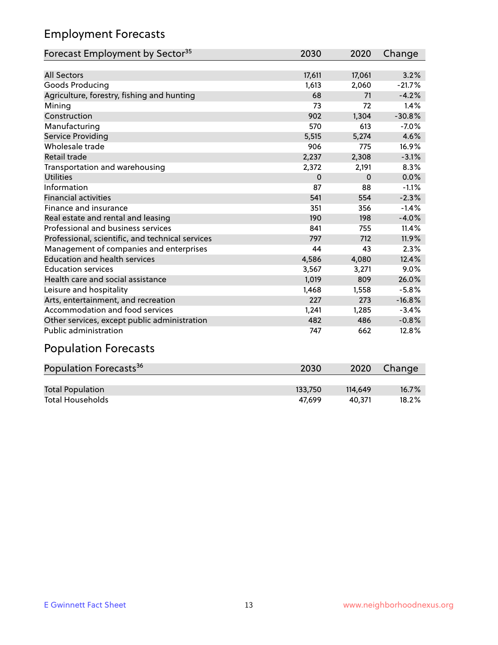## Employment Forecasts

| Forecast Employment by Sector <sup>35</sup>      | 2030     | 2020     | Change   |
|--------------------------------------------------|----------|----------|----------|
|                                                  |          |          |          |
| <b>All Sectors</b>                               | 17,611   | 17,061   | 3.2%     |
| Goods Producing                                  | 1,613    | 2,060    | $-21.7%$ |
| Agriculture, forestry, fishing and hunting       | 68       | 71       | $-4.2%$  |
| Mining                                           | 73       | 72       | 1.4%     |
| Construction                                     | 902      | 1,304    | $-30.8%$ |
| Manufacturing                                    | 570      | 613      | $-7.0%$  |
| Service Providing                                | 5,515    | 5,274    | 4.6%     |
| Wholesale trade                                  | 906      | 775      | 16.9%    |
| <b>Retail trade</b>                              | 2,237    | 2,308    | $-3.1%$  |
| Transportation and warehousing                   | 2,372    | 2,191    | 8.3%     |
| <b>Utilities</b>                                 | $\Omega$ | $\Omega$ | 0.0%     |
| Information                                      | 87       | 88       | $-1.1%$  |
| <b>Financial activities</b>                      | 541      | 554      | $-2.3%$  |
| Finance and insurance                            | 351      | 356      | $-1.4%$  |
| Real estate and rental and leasing               | 190      | 198      | $-4.0%$  |
| Professional and business services               | 841      | 755      | 11.4%    |
| Professional, scientific, and technical services | 797      | 712      | 11.9%    |
| Management of companies and enterprises          | 44       | 43       | 2.3%     |
| <b>Education and health services</b>             | 4,586    | 4,080    | 12.4%    |
| <b>Education services</b>                        | 3,567    | 3,271    | 9.0%     |
| Health care and social assistance                | 1,019    | 809      | 26.0%    |
| Leisure and hospitality                          | 1,468    | 1,558    | $-5.8%$  |
| Arts, entertainment, and recreation              | 227      | 273      | $-16.8%$ |
| Accommodation and food services                  | 1,241    | 1,285    | $-3.4%$  |
| Other services, except public administration     | 482      | 486      | $-0.8%$  |
| <b>Public administration</b>                     | 747      | 662      | 12.8%    |

# Population Forecasts

| Population Forecasts <sup>36</sup> | 2030    | 2020    | Change |
|------------------------------------|---------|---------|--------|
|                                    |         |         |        |
| <b>Total Population</b>            | 133.750 | 114.649 | 16.7%  |
| <b>Total Households</b>            | 47.699  | 40.371  | 18.2%  |